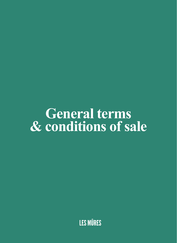# **General terms** & conditions of sale

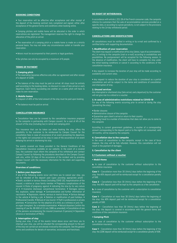# **BOOKING CONDITIONS**

• Your reservation will be effective after acceptance and after receipt of the deposit of the booking contract duly completed and signed, either after acceptance of the general terms and conditions when booking online.

• Camping pitches and mobile home will be allocated in the order in which reservations are registered. The management reserves the right to change the allocation of the pitch on arrival.

• The reservation of a camping pitch or a mobile home is made on a strictly personal basis. You may not under any circumstances sublet or transfer your reservation.

• Minors must be accompanied by their parents or legal guardians.

• Our pitches can only be occupied by a maximum of 6 people.

#### **TERMS OF PAYMENT**

#### **1. Camping pitch**

• The reservation becomes effective only after our agreement and after receipt of a deposit of 220€.

• The balance of the stay must be paid on arrival. All stays must be entirely paid according to the booking dates, no discount in case of late arrival or early departure. Each family succeeding one another on a same pitch will have to make its own reservation.

#### **2. Mobile homes**

• A deposit of 40% of the total amount of the stay must be paid upon booking.

• The balance must be paid on arrival.

# **CANCELLATION INSURANCE**

• Cancellation fees can be covered by the cancellation insurance proposed by the campsite in partnership with Campez couvert, for a cost of 4% of the amount of the stay (including tax) in rental and camping pitch.

This insurance that can be taken out when booking the stay, offers the possibility to the customer to be reimbursed by Campez Couvert for the cancellation fees in case of occurrence of an event preventing his departure, or the nights not consumed on his stay in case of the occurrence of an event delaying his arrival or shortening his stay.

The events covered are those provided in the General Conditions of the Cancellation Insurance available on our website. In the event of a covered loss, the customer must inform the campsite of his withdrawal and contact Campez Couvert by following the procedures described on the Campez Couvert web site, within 10 days of the occurrence of the incident and by providing Campez Couvert with the necessary information for the claim and supporting documents.

# **Overview of conditions:**

#### **1. Before your departure**

If any of the following events occur and force you to cancel your stay, you will be refunded of the deposit paid (upon providing appropriate proof) : • Death, accident or serious illness (including COVID 19), hospitalisation of the insured, a relative or close family member. • Pregnancy complications of the insured. • State of pregnancy against • indicating the stay by its very nature of it. • Economic dismissal, conventional termination. • Damages serious fire, explosion, water damage. • Contraindication and further information of vaccination. • Depression, mental, nervous or mental illness. • Serious damage to the vehicle • Getting a job. • Deletion or modification of paid holidays. • Professional transfer. • Refusal of visa tourist. • Theft in professional or private premises. • Convocation: for the adoption of a child, as a witness or juror, for an organ transplant, for a remedial examination. • Natural disasters (within the meaning of Law No. 86-600 of 13 July 1986 as amended). • Cancellation of one of the persons accompanying the insured (maximum 9 persons) • Separation (divorce or termination of PACS).

#### **2. Interruption of stay**

During your stay, if any of the events listed above occur and force you to interrupt your stay, you will be refunded the corresponding amount to the part of the stay not carried out and already invoiced by the campsite. See the general terms and conditions for details of warranties, exclusions and franchises.

# **NO RIGHT OF WITHDRAWAL**

In accordance with article L.221-28 of the French consumer code, the campsite informs its customers that the sale of accommodation services provided on a specific date, or according to a given periodicity, is not subject to the provisions relating to the 14-day withdrawal period.

# **CANCELLATIONS AND MODIFICATIONS**

All cancellations must be notified in writing or by e-mail and confirmed by a certified letter with supporting documentation.

## **1. Modification of your reservation**

The client may request a modification of his stay (dates, type of accommodation, etc.) in writing to the campsite (mail or e-mail) according to availabilities and possibilities. No postponement will be accepted for the following season. In the absence of modification, the client will have to complete his stay under the initial booking conditions or cancel it according to the conditions of the cancellation insurance.

• Any request to increase the duration of your stay will be made according to availability and current rates.

• Any request to reduce the duration of your stay is considered as a partial cancellation and will be subject to the terms and conditions of cancellation and interruption of stay.

#### **2. Unused services**

Any interrupted or shortened stay (late arrival, early departure) by the customer will not give rise to a refund or a voucher.

## **3. In case of administrative restrictions related to COVID-19**

For any of the following events occurring prior to arrival or during the stay (preventing the stay):

- Border closures
- Administrative closure of the campsite
- Quarantine upon client's arrival or return to their country

• Limiting travel to a number of kilometres that does not allow you to come to the campsite

According to current government guidelines, a voucher of a corresponding amount corresponding to the deposit paid or to the nights not consumed, valid 18 months, will be issued by the campsite.

#### **4. Cancellation due to the campsite**

In the event of cancellation by the campsite, except in the case of force majeure, the stay will be fully refunded. However, this cancellation will not result in the payment of damages.

#### **5. Cancellation by the client**

## **5.1 Customers without a voucher**

### • **Mobil-Home**

**a.** In case of cancellation by the customer without subscription to the cancellation insurance.

**Case 1** – Cancellation more than 30 (thirty) days before the beginning of the stay: the 40% deposit paid will be reimbursed except for a cancellation penalty of 50€.

**Case 2** – Cancellation less than 30 (thirty) days before the beginning of the stay: the 40% deposit paid will be kept by the campsite as a fee cancellation.

**b.** In case of cancellation by the customer with a subscription to cancellation insurance.

**Case 1** – Cancellation at more than 30 (thirty) days before the beginning of the stay: the 40% deposit paid will be reimbursed except for a cancellation penalty of 50€.

**Case 2** – Cancellation less than 30 (thirty) days before the beginning of the stay: the deposit is covered in accordance with the general terms and conditions of the cancellation insurance.

## • **Camping Pitch**

**a.** In case of cancellation by the customer without subscription to the cancellation insurance.

**Case 1** – Cancellation more than 30 (thirty) days before the beginning of the stay: the 220€ deposit will be reimbursed except for a cancellation penalty of 50€.